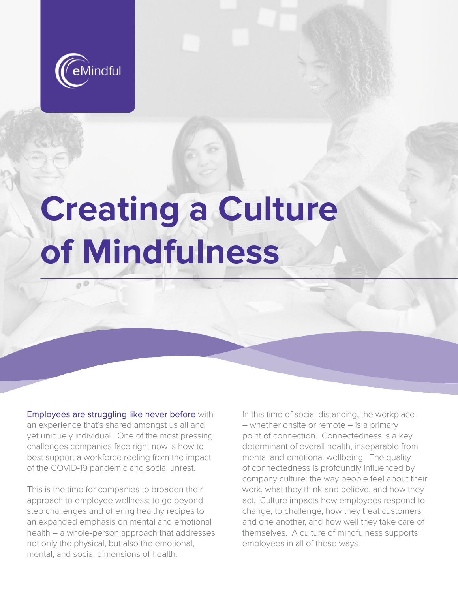

 $0^{\circ}$ 

# **Creating a Culture of Mindfulness**

Employees are struggling like never before with an experience that's shared amongst us all and yet uniquely individual. One of the most pressing challenges companies face right now is how to best support a workforce reeling from the impact of the COVID-19 pandemic and social unrest.

This is the time for companies to broaden their approach to employee wellness; to go beyond step challenges and offering healthy recipes to an expanded emphasis on mental and emotional health – a whole-person approach that addresses not only the physical, but also the emotional, mental, and social dimensions of health.

In this time of social distancing, the workplace – whether onsite or remote – is a primary point of connection. Connectedness is a key determinant of overall health, inseparable from mental and emotional wellbeing. The quality of connectedness is profoundly influenced by company culture: the way people feel about their work, what they think and believe, and how they act. Culture impacts how employees respond to change, to challenge, how they treat customers and one another, and how well they take care of themselves. A culture of mindfulness supports employees in all of these ways.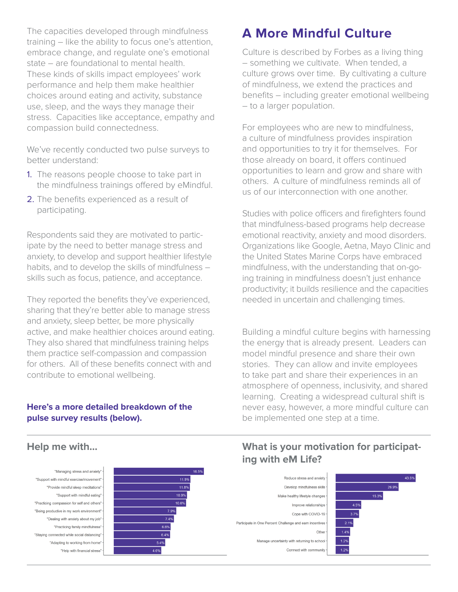The capacities developed through mindfulness training – like the ability to focus one's attention, embrace change, and regulate one's emotional state – are foundational to mental health. These kinds of skills impact employees' work performance and help them make healthier choices around eating and activity, substance use, sleep, and the ways they manage their stress. Capacities like acceptance, empathy and compassion build connectedness.

We've recently conducted two pulse surveys to better understand:

- 1. The reasons people choose to take part in the mindfulness trainings offered by eMindful.
- 2. The benefits experienced as a result of participating.

Respondents said they are motivated to participate by the need to better manage stress and anxiety, to develop and support healthier lifestyle habits, and to develop the skills of mindfulness – skills such as focus, patience, and acceptance.

They reported the benefits they've experienced, sharing that they're better able to manage stress and anxiety, sleep better, be more physically active, and make healthier choices around eating. They also shared that mindfulness training helps them practice self-compassion and compassion for others. All of these benefits connect with and contribute to emotional wellbeing.

#### **Here's a more detailed breakdown of the pulse survey results (below).**

# **A More Mindful Culture**

Culture is described by Forbes as a living thing – something we cultivate. When tended, a culture grows over time. By cultivating a culture of mindfulness, we extend the practices and benefits – including greater emotional wellbeing – to a larger population.

For employees who are new to mindfulness, a culture of mindfulness provides inspiration and opportunities to try it for themselves. For those already on board, it offers continued opportunities to learn and grow and share with others. A culture of mindfulness reminds all of us of our interconnection with one another.

Studies with police officers and firefighters found that mindfulness-based programs help decrease emotional reactivity, anxiety and mood disorders. Organizations like Google, Aetna, Mayo Clinic and the United States Marine Corps have embraced mindfulness, with the understanding that on-going training in mindfulness doesn't just enhance productivity; it builds resilience and the capacities needed in uncertain and challenging times.

Building a mindful culture begins with harnessing the energy that is already present. Leaders can model mindful presence and share their own stories. They can allow and invite employees to take part and share their experiences in an atmosphere of openness, inclusivity, and shared learning. Creating a widespread cultural shift is never easy, however, a more mindful culture can be implemented one step at a time.

"Managing stress and anxiety" "Support with mindful exercise/movement" "Provide mindful sleep meditations" "Support with mindful eating" "Practicing compassion for self and others' "Being productive in my work environment" "Dealing with anxiety about my job' "Practicing family mindfulness' "Staying connected while social distancing "Adapting to working from home" "Help with financial stress



### **Help me with... What is your motivation for participating with eM Life?**

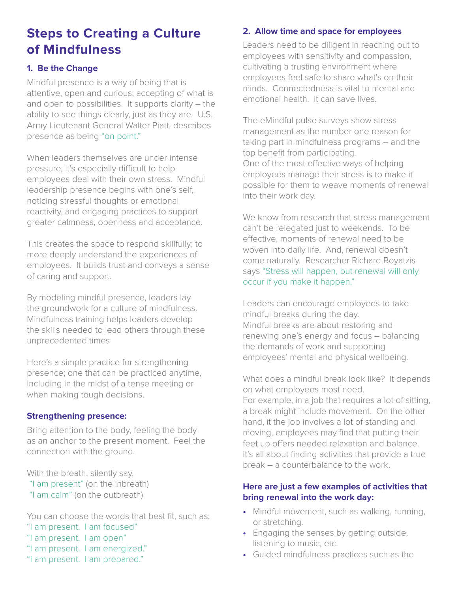## **Steps to Creating a Culture of Mindfulness**

#### **1. Be the Change**

Mindful presence is a way of being that is attentive, open and curious; accepting of what is and open to possibilities. It supports clarity – the ability to see things clearly, just as they are. U.S. Army Lieutenant General Walter Piatt, describes presence as being "on point."

When leaders themselves are under intense pressure, it's especially difficult to help employees deal with their own stress. Mindful leadership presence begins with one's self, noticing stressful thoughts or emotional reactivity, and engaging practices to support greater calmness, openness and acceptance.

This creates the space to respond skillfully; to more deeply understand the experiences of employees. It builds trust and conveys a sense of caring and support.

By modeling mindful presence, leaders lay the groundwork for a culture of mindfulness. Mindfulness training helps leaders develop the skills needed to lead others through these unprecedented times

Here's a simple practice for strengthening presence; one that can be practiced anytime, including in the midst of a tense meeting or when making tough decisions.

#### **Strengthening presence:**

Bring attention to the body, feeling the body as an anchor to the present moment. Feel the connection with the ground.

With the breath, silently say,

"I am present" (on the inbreath) "I am calm" (on the outbreath)

You can choose the words that best fit, such as: "I am present. I am focused"

- "I am present. I am open"
- "I am present. I am energized."
- "I am present. I am prepared."

#### **2. Allow time and space for employees**

Leaders need to be diligent in reaching out to employees with sensitivity and compassion, cultivating a trusting environment where employees feel safe to share what's on their minds. Connectedness is vital to mental and emotional health. It can save lives.

The eMindful pulse surveys show stress management as the number one reason for taking part in mindfulness programs – and the top benefit from participating. One of the most effective ways of helping employees manage their stress is to make it possible for them to weave moments of renewal into their work day.

We know from research that stress management can't be relegated just to weekends. To be effective, moments of renewal need to be woven into daily life. And, renewal doesn't come naturally. Researcher Richard Boyatzis says "Stress will happen, but renewal will only occur if you make it happen."

Leaders can encourage employees to take mindful breaks during the day. Mindful breaks are about restoring and renewing one's energy and focus – balancing the demands of work and supporting employees' mental and physical wellbeing.

What does a mindful break look like? It depends on what employees most need. For example, in a job that requires a lot of sitting, a break might include movement. On the other hand, it the job involves a lot of standing and moving, employees may find that putting their feet up offers needed relaxation and balance. It's all about finding activities that provide a true break – a counterbalance to the work.

#### **Here are just a few examples of activities that bring renewal into the work day:**

- **•** Mindful movement, such as walking, running, or stretching.
- **•** Engaging the senses by getting outside, listening to music, etc.
- **•** Guided mindfulness practices such as the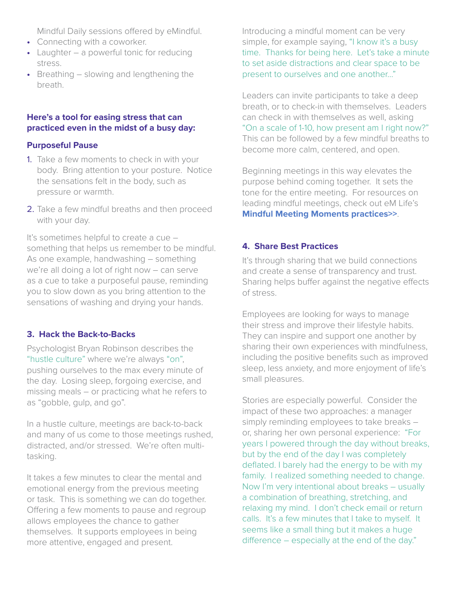Mindful Daily sessions offered by eMindful.

- **•** Connecting with a coworker.
- **•** Laughter a powerful tonic for reducing stress.
- **•** Breathing slowing and lengthening the breath.

#### **Here's a tool for easing stress that can practiced even in the midst of a busy day:**

#### **Purposeful Pause**

- 1. Take a few moments to check in with your body. Bring attention to your posture. Notice the sensations felt in the body, such as pressure or warmth.
- 2. Take a few mindful breaths and then proceed with your day.

It's sometimes helpful to create a cue – something that helps us remember to be mindful. As one example, handwashing – something we're all doing a lot of right now – can serve as a cue to take a purposeful pause, reminding you to slow down as you bring attention to the sensations of washing and drying your hands.

#### **3. Hack the Back-to-Backs**

Psychologist Bryan Robinson describes the "hustle culture" where we're always "on", pushing ourselves to the max every minute of the day. Losing sleep, forgoing exercise, and missing meals – or practicing what he refers to as "gobble, gulp, and go".

In a hustle culture, meetings are back-to-back and many of us come to those meetings rushed, distracted, and/or stressed. We're often multitasking.

It takes a few minutes to clear the mental and emotional energy from the previous meeting or task. This is something we can do together. Offering a few moments to pause and regroup allows employees the chance to gather themselves. It supports employees in being more attentive, engaged and present.

Introducing a mindful moment can be very simple, for example saying, "I know it's a busy time. Thanks for being here. Let's take a minute to set aside distractions and clear space to be present to ourselves and one another…"

Leaders can invite participants to take a deep breath, or to check-in with themselves. Leaders can check in with themselves as well, asking "On a scale of 1-10, how present am I right now?" This can be followed by a few mindful breaths to become more calm, centered, and open.

Beginning meetings in this way elevates the purpose behind coming together. It sets the tone for the entire meeting. For resources on leading mindful meetings, check out eM Life's **[Mindful Meeting Moments practices>>](https://vibe.emindful.com/programs/65)**.

#### **4. Share Best Practices**

It's through sharing that we build connections and create a sense of transparency and trust. Sharing helps buffer against the negative effects of stress.

Employees are looking for ways to manage their stress and improve their lifestyle habits. They can inspire and support one another by sharing their own experiences with mindfulness, including the positive benefits such as improved sleep, less anxiety, and more enjoyment of life's small pleasures.

Stories are especially powerful. Consider the impact of these two approaches: a manager simply reminding employees to take breaks – or, sharing her own personal experience: "For years I powered through the day without breaks, but by the end of the day I was completely deflated. I barely had the energy to be with my family. I realized something needed to change. Now I'm very intentional about breaks – usually a combination of breathing, stretching, and relaxing my mind. I don't check email or return calls. It's a few minutes that I take to myself. It seems like a small thing but it makes a huge difference – especially at the end of the day."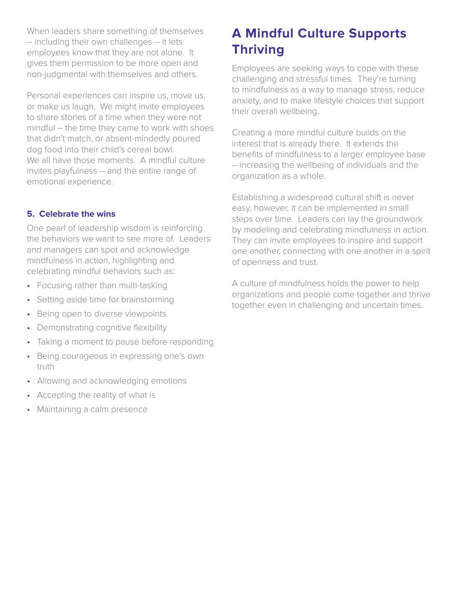When leaders share something of themselves – including their own challenges -- it lets employees know that they are not alone. It gives them permission to be more open and non-judgmental with themselves and others.

Personal experiences can inspire us, move us, or make us laugh. We might invite employees to share stories of a time when they were not mindful – the time they came to work with shoes that didn't match, or absent-mindedly poured dog food into their child's cereal bowl. We all have those moments. A mindful culture invites playfulness – and the entire range of emotional experience.

#### **5. Celebrate the wins**

One pearl of leadership wisdom is reinforcing the behaviors we want to see more of. Leaders and managers can spot and acknowledge mindfulness in action, highlighting and celebrating mindful behaviors such as:

- Focusing rather than multi-tasking
- Setting aside time for brainstorming
- Being open to diverse viewpoints
- Demonstrating cognitive flexibility
- Taking a moment to pause before responding
- Being courageous in expressing one's own truth
- Allowing and acknowledging emotions
- Accepting the reality of what is
- Maintaining a calm presence

# **A Mindful Culture Supports Thriving**

Employees are seeking ways to cope with these challenging and stressful times. They're turning to mindfulness as a way to manage stress, reduce anxiety, and to make lifestyle choices that support their overall wellbeing.

Creating a more mindful culture builds on the interest that is already there. It extends the benefits of mindfulness to a larger employee base – increasing the wellbeing of individuals and the organization as a whole.

Establishing a widespread cultural shift is never easy, however, it can be implemented in small steps over time. Leaders can lay the groundwork by modeling and celebrating mindfulness in action. They can invite employees to inspire and support one another, connecting with one another in a spirit of openness and trust.

A culture of mindfulness holds the power to help organizations and people come together and thrive together even in challenging and uncertain times.